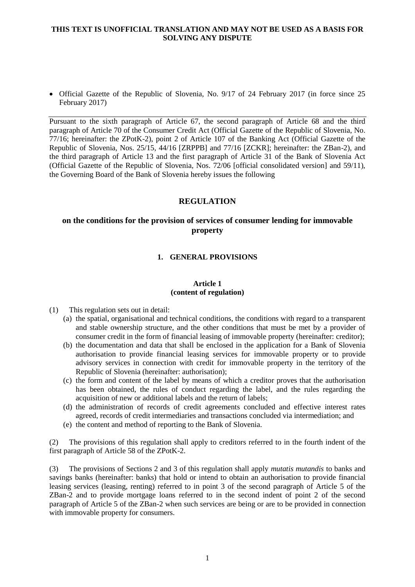• Official Gazette of the Republic of Slovenia, No. 9/17 of 24 February 2017 (in force since 25 February 2017)

Pursuant to the sixth paragraph of Article 67, the second paragraph of Article 68 and the third paragraph of Article 70 of the Consumer Credit Act (Official Gazette of the Republic of Slovenia, No. 77/16; hereinafter: the ZPotK-2), point 2 of Article 107 of the Banking Act (Official Gazette of the Republic of Slovenia, Nos. 25/15, 44/16 [ZRPPB] and 77/16 [ZCKR]; hereinafter: the ZBan-2), and the third paragraph of Article 13 and the first paragraph of Article 31 of the Bank of Slovenia Act (Official Gazette of the Republic of Slovenia, Nos. 72/06 [official consolidated version] and 59/11), the Governing Board of the Bank of Slovenia hereby issues the following

# **REGULATION**

# **on the conditions for the provision of services of consumer lending for immovable property**

# **1. GENERAL PROVISIONS**

## **Article 1 (content of regulation)**

- (1) This regulation sets out in detail:
	- (a) the spatial, organisational and technical conditions, the conditions with regard to a transparent and stable ownership structure, and the other conditions that must be met by a provider of consumer credit in the form of financial leasing of immovable property (hereinafter: creditor);
	- (b) the documentation and data that shall be enclosed in the application for a Bank of Slovenia authorisation to provide financial leasing services for immovable property or to provide advisory services in connection with credit for immovable property in the territory of the Republic of Slovenia (hereinafter: authorisation);
	- (c) the form and content of the label by means of which a creditor proves that the authorisation has been obtained, the rules of conduct regarding the label, and the rules regarding the acquisition of new or additional labels and the return of labels;
	- (d) the administration of records of credit agreements concluded and effective interest rates agreed, records of credit intermediaries and transactions concluded via intermediation; and
	- (e) the content and method of reporting to the Bank of Slovenia.

(2) The provisions of this regulation shall apply to creditors referred to in the fourth indent of the first paragraph of Article 58 of the ZPotK-2.

(3) The provisions of Sections 2 and 3 of this regulation shall apply *mutatis mutandis* to banks and savings banks (hereinafter: banks) that hold or intend to obtain an authorisation to provide financial leasing services (leasing, renting) referred to in point 3 of the second paragraph of Article 5 of the ZBan-2 and to provide mortgage loans referred to in the second indent of point 2 of the second paragraph of Article 5 of the ZBan-2 when such services are being or are to be provided in connection with immovable property for consumers.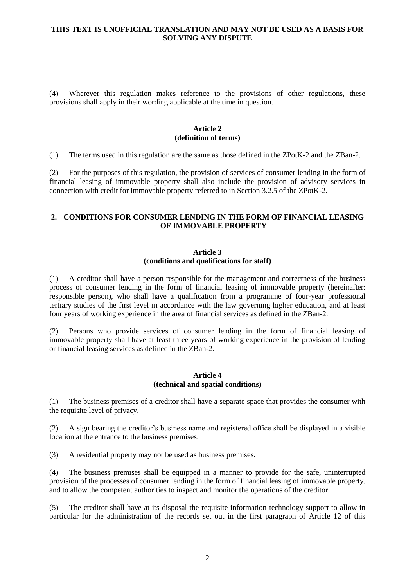(4) Wherever this regulation makes reference to the provisions of other regulations, these provisions shall apply in their wording applicable at the time in question.

#### **Article 2 (definition of terms)**

(1) The terms used in this regulation are the same as those defined in the ZPotK-2 and the ZBan-2.

(2) For the purposes of this regulation, the provision of services of consumer lending in the form of financial leasing of immovable property shall also include the provision of advisory services in connection with credit for immovable property referred to in Section 3.2.5 of the ZPotK-2.

#### **2. CONDITIONS FOR CONSUMER LENDING IN THE FORM OF FINANCIAL LEASING OF IMMOVABLE PROPERTY**

#### **Article 3 (conditions and qualifications for staff)**

(1) A creditor shall have a person responsible for the management and correctness of the business process of consumer lending in the form of financial leasing of immovable property (hereinafter: responsible person), who shall have a qualification from a programme of four-year professional tertiary studies of the first level in accordance with the law governing higher education, and at least four years of working experience in the area of financial services as defined in the ZBan-2.

(2) Persons who provide services of consumer lending in the form of financial leasing of immovable property shall have at least three years of working experience in the provision of lending or financial leasing services as defined in the ZBan-2.

#### **Article 4 (technical and spatial conditions)**

(1) The business premises of a creditor shall have a separate space that provides the consumer with the requisite level of privacy.

(2) A sign bearing the creditor's business name and registered office shall be displayed in a visible location at the entrance to the business premises.

(3) A residential property may not be used as business premises.

(4) The business premises shall be equipped in a manner to provide for the safe, uninterrupted provision of the processes of consumer lending in the form of financial leasing of immovable property, and to allow the competent authorities to inspect and monitor the operations of the creditor.

(5) The creditor shall have at its disposal the requisite information technology support to allow in particular for the administration of the records set out in the first paragraph of Article 12 of this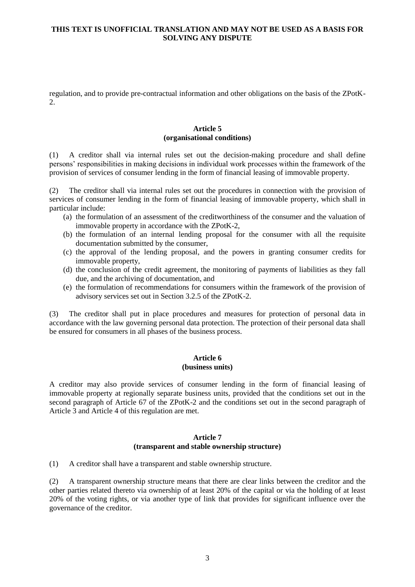regulation, and to provide pre-contractual information and other obligations on the basis of the ZPotK-2.

#### **Article 5 (organisational conditions)**

(1) A creditor shall via internal rules set out the decision-making procedure and shall define persons' responsibilities in making decisions in individual work processes within the framework of the provision of services of consumer lending in the form of financial leasing of immovable property.

(2) The creditor shall via internal rules set out the procedures in connection with the provision of services of consumer lending in the form of financial leasing of immovable property, which shall in particular include:

- (a) the formulation of an assessment of the creditworthiness of the consumer and the valuation of immovable property in accordance with the ZPotK-2,
- (b) the formulation of an internal lending proposal for the consumer with all the requisite documentation submitted by the consumer,
- (c) the approval of the lending proposal, and the powers in granting consumer credits for immovable property,
- (d) the conclusion of the credit agreement, the monitoring of payments of liabilities as they fall due, and the archiving of documentation, and
- (e) the formulation of recommendations for consumers within the framework of the provision of advisory services set out in Section 3.2.5 of the ZPotK-2.

(3) The creditor shall put in place procedures and measures for protection of personal data in accordance with the law governing personal data protection. The protection of their personal data shall be ensured for consumers in all phases of the business process.

#### **Article 6 (business units)**

A creditor may also provide services of consumer lending in the form of financial leasing of immovable property at regionally separate business units, provided that the conditions set out in the second paragraph of Article 67 of the ZPotK-2 and the conditions set out in the second paragraph of Article 3 and Article 4 of this regulation are met.

#### **Article 7 (transparent and stable ownership structure)**

(1) A creditor shall have a transparent and stable ownership structure.

(2) A transparent ownership structure means that there are clear links between the creditor and the other parties related thereto via ownership of at least 20% of the capital or via the holding of at least 20% of the voting rights, or via another type of link that provides for significant influence over the governance of the creditor.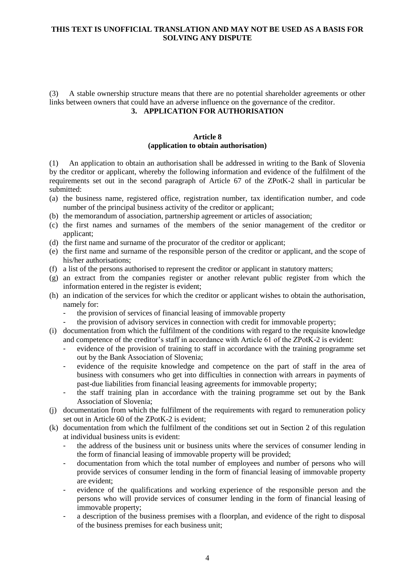(3) A stable ownership structure means that there are no potential shareholder agreements or other links between owners that could have an adverse influence on the governance of the creditor.

# **3. APPLICATION FOR AUTHORISATION**

## **Article 8 (application to obtain authorisation)**

(1) An application to obtain an authorisation shall be addressed in writing to the Bank of Slovenia by the creditor or applicant, whereby the following information and evidence of the fulfilment of the requirements set out in the second paragraph of Article 67 of the ZPotK-2 shall in particular be submitted:

- (a) the business name, registered office, registration number, tax identification number, and code number of the principal business activity of the creditor or applicant;
- (b) the memorandum of association, partnership agreement or articles of association;
- (c) the first names and surnames of the members of the senior management of the creditor or applicant;
- (d) the first name and surname of the procurator of the creditor or applicant;
- (e) the first name and surname of the responsible person of the creditor or applicant, and the scope of his/her authorisations;
- (f) a list of the persons authorised to represent the creditor or applicant in statutory matters;
- (g) an extract from the companies register or another relevant public register from which the information entered in the register is evident;
- (h) an indication of the services for which the creditor or applicant wishes to obtain the authorisation, namely for:
	- the provision of services of financial leasing of immovable property
	- the provision of advisory services in connection with credit for immovable property;
- (i) documentation from which the fulfilment of the conditions with regard to the requisite knowledge and competence of the creditor's staff in accordance with Article 61 of the ZPotK-2 is evident:
	- evidence of the provision of training to staff in accordance with the training programme set out by the Bank Association of Slovenia;
	- evidence of the requisite knowledge and competence on the part of staff in the area of business with consumers who get into difficulties in connection with arrears in payments of past-due liabilities from financial leasing agreements for immovable property;
	- the staff training plan in accordance with the training programme set out by the Bank Association of Slovenia;
- (j) documentation from which the fulfilment of the requirements with regard to remuneration policy set out in Article 60 of the ZPotK-2 is evident;
- (k) documentation from which the fulfilment of the conditions set out in Section 2 of this regulation at individual business units is evident:
	- the address of the business unit or business units where the services of consumer lending in the form of financial leasing of immovable property will be provided;
	- documentation from which the total number of employees and number of persons who will provide services of consumer lending in the form of financial leasing of immovable property are evident;
	- evidence of the qualifications and working experience of the responsible person and the persons who will provide services of consumer lending in the form of financial leasing of immovable property;
	- a description of the business premises with a floorplan, and evidence of the right to disposal of the business premises for each business unit;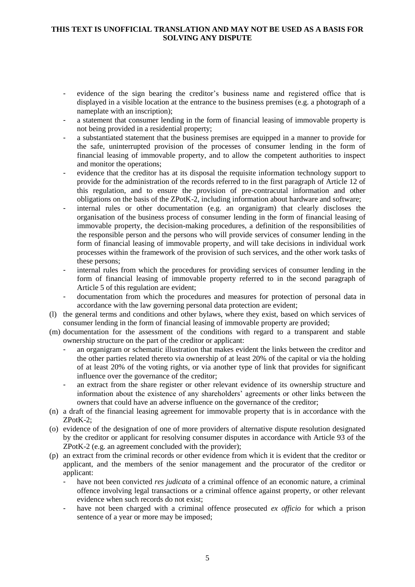- evidence of the sign bearing the creditor's business name and registered office that is displayed in a visible location at the entrance to the business premises (e.g. a photograph of a nameplate with an inscription);
- a statement that consumer lending in the form of financial leasing of immovable property is not being provided in a residential property;
- a substantiated statement that the business premises are equipped in a manner to provide for the safe, uninterrupted provision of the processes of consumer lending in the form of financial leasing of immovable property, and to allow the competent authorities to inspect and monitor the operations;
- evidence that the creditor has at its disposal the requisite information technology support to provide for the administration of the records referred to in the first paragraph of Article 12 of this regulation, and to ensure the provision of pre-contracutal information and other obligations on the basis of the ZPotK-2, including information about hardware and software;
- internal rules or other documentation (e.g. an organigram) that clearly discloses the organisation of the business process of consumer lending in the form of financial leasing of immovable property, the decision-making procedures, a definition of the responsibilities of the responsible person and the persons who will provide services of consumer lending in the form of financial leasing of immovable property, and will take decisions in individual work processes within the framework of the provision of such services, and the other work tasks of these persons;
- internal rules from which the procedures for providing services of consumer lending in the form of financial leasing of immovable property referred to in the second paragraph of Article 5 of this regulation are evident;
- documentation from which the procedures and measures for protection of personal data in accordance with the law governing personal data protection are evident;
- (l) the general terms and conditions and other bylaws, where they exist, based on which services of consumer lending in the form of financial leasing of immovable property are provided;
- (m) documentation for the assessment of the conditions with regard to a transparent and stable ownership structure on the part of the creditor or applicant:
	- an organigram or schematic illustration that makes evident the links between the creditor and the other parties related thereto via ownership of at least 20% of the capital or via the holding of at least 20% of the voting rights, or via another type of link that provides for significant influence over the governance of the creditor;
	- an extract from the share register or other relevant evidence of its ownership structure and information about the existence of any shareholders' agreements or other links between the owners that could have an adverse influence on the governance of the creditor;
- (n) a draft of the financial leasing agreement for immovable property that is in accordance with the ZPotK-2;
- (o) evidence of the designation of one of more providers of alternative dispute resolution designated by the creditor or applicant for resolving consumer disputes in accordance with Article 93 of the ZPotK-2 (e.g. an agreement concluded with the provider);
- (p) an extract from the criminal records or other evidence from which it is evident that the creditor or applicant, and the members of the senior management and the procurator of the creditor or applicant:
	- have not been convicted *res judicata* of a criminal offence of an economic nature, a criminal offence involving legal transactions or a criminal offence against property, or other relevant evidence when such records do not exist;
	- have not been charged with a criminal offence prosecuted *ex officio* for which a prison sentence of a year or more may be imposed;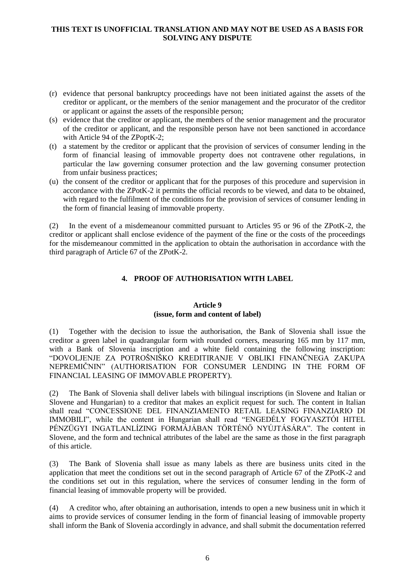- (r) evidence that personal bankruptcy proceedings have not been initiated against the assets of the creditor or applicant, or the members of the senior management and the procurator of the creditor or applicant or against the assets of the responsible person;
- (s) evidence that the creditor or applicant, the members of the senior management and the procurator of the creditor or applicant, and the responsible person have not been sanctioned in accordance with Article 94 of the ZPoptK-2;
- (t) a statement by the creditor or applicant that the provision of services of consumer lending in the form of financial leasing of immovable property does not contravene other regulations, in particular the law governing consumer protection and the law governing consumer protection from unfair business practices;
- (u) the consent of the creditor or applicant that for the purposes of this procedure and supervision in accordance with the ZPotK-2 it permits the official records to be viewed, and data to be obtained, with regard to the fulfilment of the conditions for the provision of services of consumer lending in the form of financial leasing of immovable property.

(2) In the event of a misdemeanour committed pursuant to Articles 95 or 96 of the ZPotK-2, the creditor or applicant shall enclose evidence of the payment of the fine or the costs of the proceedings for the misdemeanour committed in the application to obtain the authorisation in accordance with the third paragraph of Article 67 of the ZPotK-2.

# **4. PROOF OF AUTHORISATION WITH LABEL**

# **Article 9 (issue, form and content of label)**

(1) Together with the decision to issue the authorisation, the Bank of Slovenia shall issue the creditor a green label in quadrangular form with rounded corners, measuring 165 mm by 117 mm, with a Bank of Slovenia inscription and a white field containing the following inscription: "DOVOLJENJE ZA POTROŠNIŠKO KREDITIRANJE V OBLIKI FINANČNEGA ZAKUPA NEPREMIČNIN" (AUTHORISATION FOR CONSUMER LENDING IN THE FORM OF FINANCIAL LEASING OF IMMOVABLE PROPERTY).

(2) The Bank of Slovenia shall deliver labels with bilingual inscriptions (in Slovene and Italian or Slovene and Hungarian) to a creditor that makes an explicit request for such. The content in Italian shall read "CONCESSIONE DEL FINANZIAMENTO RETAIL LEASING FINANZIARIO DI IMMOBILI", while the content in Hungarian shall read "ENGEDÉLY FOGYASZTÓI HITEL PÉNZÜGYI INGATLANLÍZING FORMÁJÁBAN TÖRTÉNŐ NYÚJTÁSÁRA". The content in Slovene, and the form and technical attributes of the label are the same as those in the first paragraph of this article.

(3) The Bank of Slovenia shall issue as many labels as there are business units cited in the application that meet the conditions set out in the second paragraph of Article 67 of the ZPotK-2 and the conditions set out in this regulation, where the services of consumer lending in the form of financial leasing of immovable property will be provided.

(4) A creditor who, after obtaining an authorisation, intends to open a new business unit in which it aims to provide services of consumer lending in the form of financial leasing of immovable property shall inform the Bank of Slovenia accordingly in advance, and shall submit the documentation referred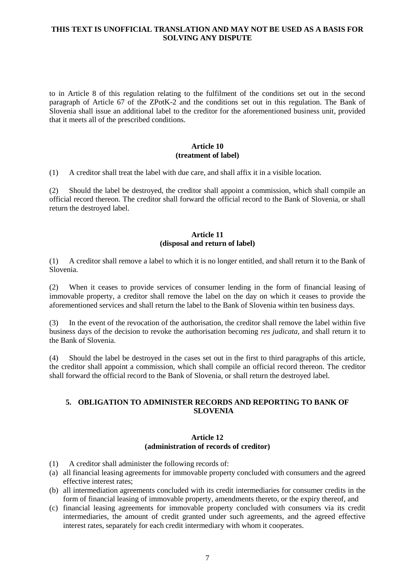to in Article 8 of this regulation relating to the fulfilment of the conditions set out in the second paragraph of Article 67 of the ZPotK-2 and the conditions set out in this regulation. The Bank of Slovenia shall issue an additional label to the creditor for the aforementioned business unit, provided that it meets all of the prescribed conditions.

## **Article 10 (treatment of label)**

(1) A creditor shall treat the label with due care, and shall affix it in a visible location.

(2) Should the label be destroyed, the creditor shall appoint a commission, which shall compile an official record thereon. The creditor shall forward the official record to the Bank of Slovenia, or shall return the destroyed label.

# **Article 11 (disposal and return of label)**

(1) A creditor shall remove a label to which it is no longer entitled, and shall return it to the Bank of Slovenia.

(2) When it ceases to provide services of consumer lending in the form of financial leasing of immovable property, a creditor shall remove the label on the day on which it ceases to provide the aforementioned services and shall return the label to the Bank of Slovenia within ten business days.

(3) In the event of the revocation of the authorisation, the creditor shall remove the label within five business days of the decision to revoke the authorisation becoming *res judicata*, and shall return it to the Bank of Slovenia.

(4) Should the label be destroyed in the cases set out in the first to third paragraphs of this article, the creditor shall appoint a commission, which shall compile an official record thereon. The creditor shall forward the official record to the Bank of Slovenia, or shall return the destroyed label.

# **5. OBLIGATION TO ADMINISTER RECORDS AND REPORTING TO BANK OF SLOVENIA**

## **Article 12 (administration of records of creditor)**

- (1) A creditor shall administer the following records of:
- (a) all financial leasing agreements for immovable property concluded with consumers and the agreed effective interest rates;
- (b) all intermediation agreements concluded with its credit intermediaries for consumer credits in the form of financial leasing of immovable property, amendments thereto, or the expiry thereof, and
- (c) financial leasing agreements for immovable property concluded with consumers via its credit intermediaries, the amount of credit granted under such agreements, and the agreed effective interest rates, separately for each credit intermediary with whom it cooperates.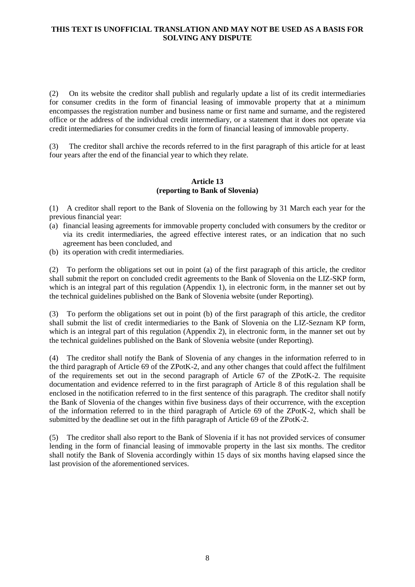(2) On its website the creditor shall publish and regularly update a list of its credit intermediaries for consumer credits in the form of financial leasing of immovable property that at a minimum encompasses the registration number and business name or first name and surname, and the registered office or the address of the individual credit intermediary, or a statement that it does not operate via credit intermediaries for consumer credits in the form of financial leasing of immovable property.

(3) The creditor shall archive the records referred to in the first paragraph of this article for at least four years after the end of the financial year to which they relate.

## **Article 13 (reporting to Bank of Slovenia)**

(1) A creditor shall report to the Bank of Slovenia on the following by 31 March each year for the previous financial year:

- (a) financial leasing agreements for immovable property concluded with consumers by the creditor or via its credit intermediaries, the agreed effective interest rates, or an indication that no such agreement has been concluded, and
- (b) its operation with credit intermediaries.

(2) To perform the obligations set out in point (a) of the first paragraph of this article, the creditor shall submit the report on concluded credit agreements to the Bank of Slovenia on the LIZ-SKP form, which is an integral part of this regulation (Appendix 1), in electronic form, in the manner set out by the technical guidelines published on the Bank of Slovenia website (under Reporting).

(3) To perform the obligations set out in point (b) of the first paragraph of this article, the creditor shall submit the list of credit intermediaries to the Bank of Slovenia on the LIZ-Seznam KP form, which is an integral part of this regulation (Appendix 2), in electronic form, in the manner set out by the technical guidelines published on the Bank of Slovenia website (under Reporting).

(4) The creditor shall notify the Bank of Slovenia of any changes in the information referred to in the third paragraph of Article 69 of the ZPotK-2, and any other changes that could affect the fulfilment of the requirements set out in the second paragraph of Article 67 of the ZPotK-2. The requisite documentation and evidence referred to in the first paragraph of Article 8 of this regulation shall be enclosed in the notification referred to in the first sentence of this paragraph. The creditor shall notify the Bank of Slovenia of the changes within five business days of their occurrence, with the exception of the information referred to in the third paragraph of Article 69 of the ZPotK-2, which shall be submitted by the deadline set out in the fifth paragraph of Article 69 of the ZPotK-2.

(5) The creditor shall also report to the Bank of Slovenia if it has not provided services of consumer lending in the form of financial leasing of immovable property in the last six months. The creditor shall notify the Bank of Slovenia accordingly within 15 days of six months having elapsed since the last provision of the aforementioned services.